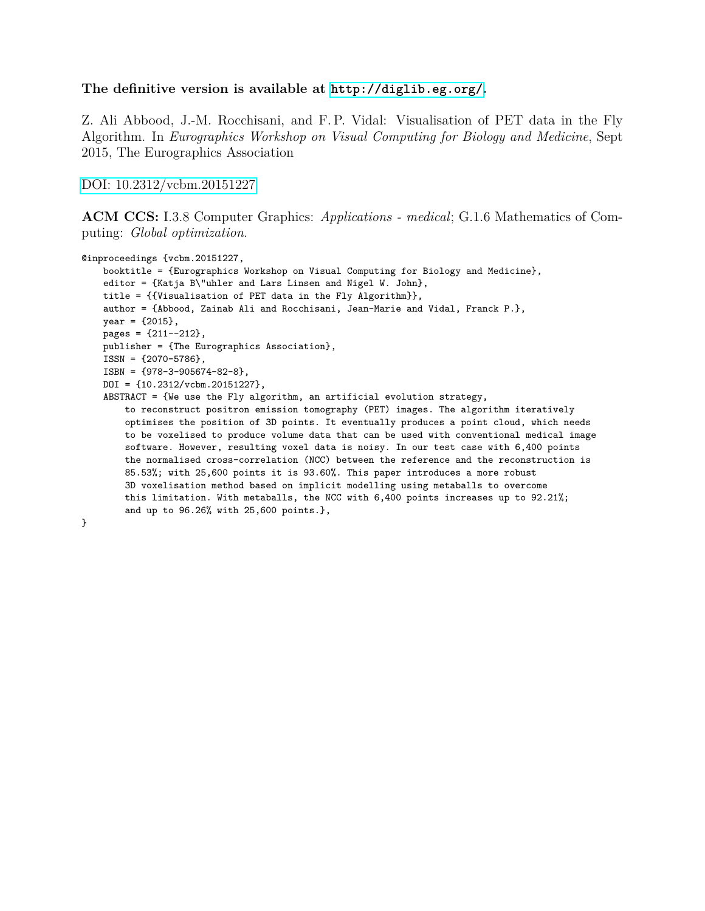## **The definitive version is available at <http://diglib.eg.org/>.**

Z. Ali Abbood, J.-M. Rocchisani, and F. P. Vidal: Visualisation of PET data in the Fly Algorithm. In *Eurographics Workshop on Visual Computing for Biology and Medicine*, Sept 2015, The Eurographics Association

[DOI: 10.2312/vcbm.20151227](http://dx.doi.org/10.2312/vcbm.20151227)

**ACM CCS:** I.3.8 Computer Graphics: *Applications - medical*; G.1.6 Mathematics of Computing: *Global optimization*.

```
@inproceedings {vcbm.20151227,
    booktitle = {Eurographics Workshop on Visual Computing for Biology and Medicine},
    editor = {Katja B\"uhler and Lars Linsen and Nigel W. John},
    title = {{Visualisation of PET data in the Fly Algorithm}},
    author = {Abbood, Zainab Ali and Rocchisani, Jean-Marie and Vidal, Franck P.},
    year = {2015},
    pages = {211--212},
    publisher = {The Eurographics Association},
    ISSN = {2070-5786},
    ISBN = {978-3-905674-82-8},
    DOI = {10.2312/vcbm.20151227},
    ABSTRACT = {We use the Fly algorithm, an artificial evolution strategy,
        to reconstruct positron emission tomography (PET) images. The algorithm iteratively
        optimises the position of 3D points. It eventually produces a point cloud, which needs
        to be voxelised to produce volume data that can be used with conventional medical image
        software. However, resulting voxel data is noisy. In our test case with 6,400 points
        the normalised cross-correlation (NCC) between the reference and the reconstruction is
        85.53%; with 25,600 points it is 93.60%. This paper introduces a more robust
        3D voxelisation method based on implicit modelling using metaballs to overcome
        this limitation. With metaballs, the NCC with 6,400 points increases up to 92.21%;
        and up to 96.26% with 25,600 points.},
}
```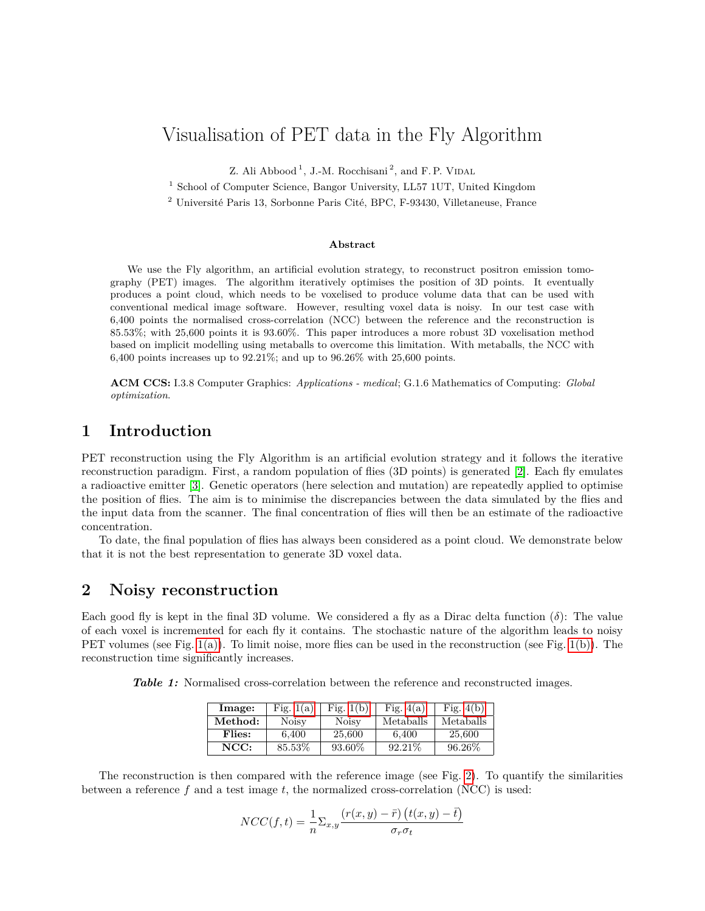# Visualisation of PET data in the Fly Algorithm

Z. Ali Abbood<sup>1</sup>, J.-M. Rocchisani<sup>2</sup>, and F.P. VIDAL

<sup>1</sup> School of Computer Science, Bangor University, LL57 1UT, United Kingdom

<sup>2</sup> Université Paris 13, Sorbonne Paris Cité, BPC, F-93430, Villetaneuse, France

#### **Abstract**

We use the Fly algorithm, an artificial evolution strategy, to reconstruct positron emission tomography (PET) images. The algorithm iteratively optimises the position of 3D points. It eventually produces a point cloud, which needs to be voxelised to produce volume data that can be used with conventional medical image software. However, resulting voxel data is noisy. In our test case with 6,400 points the normalised cross-correlation (NCC) between the reference and the reconstruction is 85.53%; with 25,600 points it is 93.60%. This paper introduces a more robust 3D voxelisation method based on implicit modelling using metaballs to overcome this limitation. With metaballs, the NCC with 6,400 points increases up to  $92.21\%$ ; and up to  $96.26\%$  with  $25,600$  points.

**ACM CCS:** I.3.8 Computer Graphics: *Applications - medical*; G.1.6 Mathematics of Computing: *Global optimization*.

## **1 Introduction**

PET reconstruction using the Fly Algorithm is an artificial evolution strategy and it follows the iterative reconstruction paradigm. First, a random population of flies (3D points) is generated [\[2\]](#page-3-0). Each fly emulates a radioactive emitter [\[3\]](#page-3-1). Genetic operators (here selection and mutation) are repeatedly applied to optimise the position of flies. The aim is to minimise the discrepancies between the data simulated by the flies and the input data from the scanner. The final concentration of flies will then be an estimate of the radioactive concentration.

To date, the final population of flies has always been considered as a point cloud. We demonstrate below that it is not the best representation to generate 3D voxel data.

## **2 Noisy reconstruction**

Each good fly is kept in the final 3D volume. We considered a fly as a Dirac delta function  $(\delta)$ : The value of each voxel is incremented for each fly it contains. The stochastic nature of the algorithm leads to noisy PET volumes (see Fig.  $1(a)$ ). To limit noise, more flies can be used in the reconstruction (see Fig.  $1(b)$ ). The reconstruction time significantly increases.

<span id="page-1-0"></span>**Table 1:** Normalised cross-correlation between the reference and reconstructed images.

| lmage:  | Fig. $1(a)$  | Fig. $1(b)$  | Fig. $4(a)$ | Fig. $4(b)$ |
|---------|--------------|--------------|-------------|-------------|
| Method: | <b>Noisy</b> | <b>Noisy</b> | Metaballs   | Metaballs   |
| Flies:  | 6.400        | 25,600       | 6.400       | 25,600      |
| NCC:    | 85.53%       | 93.60%       | 92.21\%     | 96.26%      |

The reconstruction is then compared with the reference image (see Fig. [2\)](#page-2-2). To quantify the similarities between a reference *f* and a test image *t*, the normalized cross-correlation (NCC) is used:

$$
NCC(f,t) = \frac{1}{n} \sum_{x,y} \frac{(r(x,y) - \bar{r}) (t(x,y) - \bar{t})}{\sigma_r \sigma_t}
$$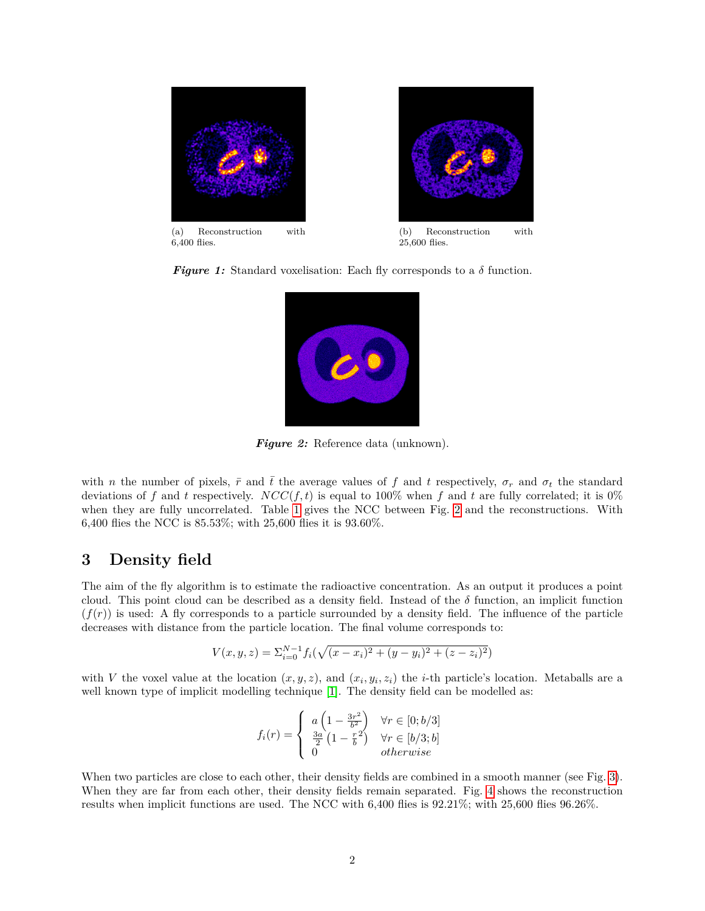

<span id="page-2-2"></span><span id="page-2-0"></span>*Figure 1:* Standard voxelisation: Each fly corresponds to a  $\delta$  function.

<span id="page-2-1"></span>

*Figure 2:* Reference data (unknown).

with *n* the number of pixels,  $\bar{r}$  and  $\bar{t}$  the average values of f and t respectively,  $\sigma_r$  and  $\sigma_t$  the standard deviations of f and t respectively.  $NCC(f, t)$  is equal to 100% when f and t are fully correlated; it is 0% when they are fully uncorrelated. Table [1](#page-1-0) gives the NCC between Fig. [2](#page-2-2) and the reconstructions. With 6,400 flies the NCC is 85.53%; with 25,600 flies it is 93.60%.

## **3 Density field**

The aim of the fly algorithm is to estimate the radioactive concentration. As an output it produces a point cloud. This point cloud can be described as a density field. Instead of the  $\delta$  function, an implicit function  $(f(r))$  is used: A fly corresponds to a particle surrounded by a density field. The influence of the particle decreases with distance from the particle location. The final volume corresponds to:

$$
V(x, y, z) = \sum_{i=0}^{N-1} f_i(\sqrt{(x - x_i)^2 + (y - y_i)^2 + (z - z_i)^2})
$$

with *V* the voxel value at the location  $(x, y, z)$ , and  $(x_i, y_i, z_i)$  the *i*-th particle's location. Metaballs are a well known type of implicit modelling technique [\[1\]](#page-3-4). The density field can be modelled as:

$$
f_i(r) = \begin{cases} a \left(1 - \frac{3r^2}{b^2}\right) & \forall r \in [0; b/3] \\ \frac{3a}{2} \left(1 - \frac{r^2}{b}\right) & \forall r \in [b/3; b] \\ 0 & otherwise \end{cases}
$$

When two particles are close to each other, their density fields are combined in a smooth manner (see Fig. [3\)](#page-3-5). When they are far from each other, their density fields remain separated. Fig. [4](#page-3-6) shows the reconstruction results when implicit functions are used. The NCC with 6,400 flies is 92.21%; with 25,600 flies 96.26%.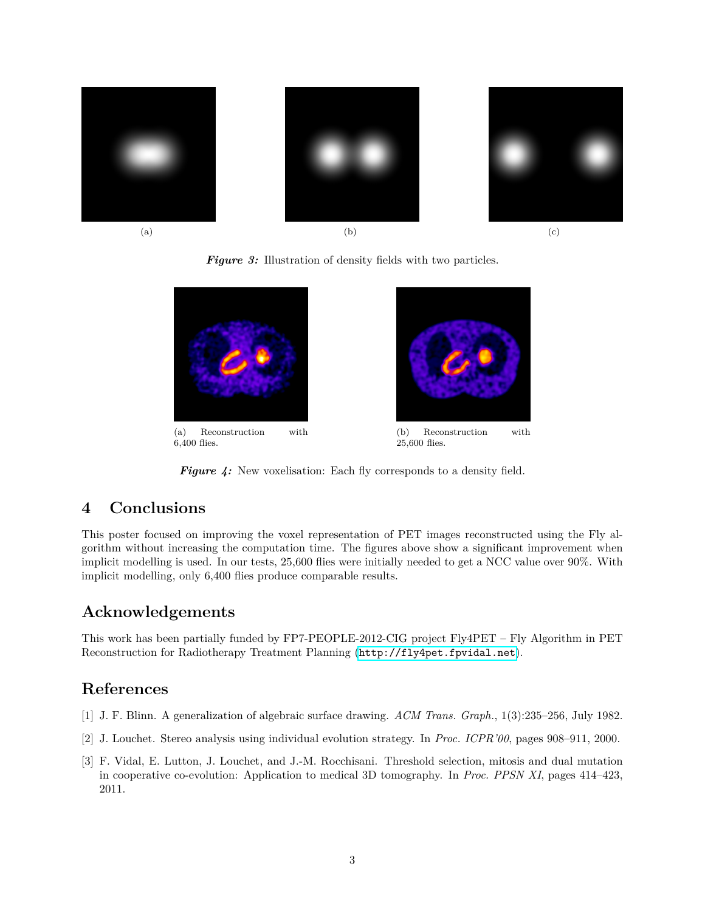<span id="page-3-5"></span>

**Figure 3:** Illustration of density fields with two particles.

<span id="page-3-6"></span>

<span id="page-3-3"></span><span id="page-3-2"></span>*Figure 4:* New voxelisation: Each fly corresponds to a density field.

# **4 Conclusions**

This poster focused on improving the voxel representation of PET images reconstructed using the Fly algorithm without increasing the computation time. The figures above show a significant improvement when implicit modelling is used. In our tests, 25,600 flies were initially needed to get a NCC value over 90%. With implicit modelling, only 6,400 flies produce comparable results.

# **Acknowledgements**

This work has been partially funded by FP7-PEOPLE-2012-CIG project Fly4PET – Fly Algorithm in PET Reconstruction for Radiotherapy Treatment Planning (<http://fly4pet.fpvidal.net>).

# **References**

- <span id="page-3-4"></span>[1] J. F. Blinn. A generalization of algebraic surface drawing. *ACM Trans. Graph.*, 1(3):235–256, July 1982.
- <span id="page-3-0"></span>[2] J. Louchet. Stereo analysis using individual evolution strategy. In *Proc. ICPR'00*, pages 908–911, 2000.
- <span id="page-3-1"></span>[3] F. Vidal, E. Lutton, J. Louchet, and J.-M. Rocchisani. Threshold selection, mitosis and dual mutation in cooperative co-evolution: Application to medical 3D tomography. In *Proc. PPSN XI*, pages 414–423, 2011.